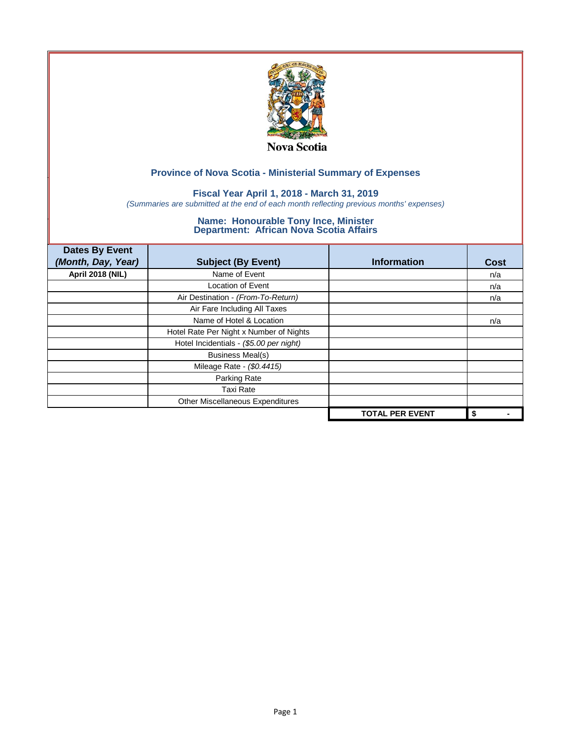

## **Fiscal Year April 1, 2018 - March 31, 2019**

*(Summaries are submitted at the end of each month reflecting previous months' expenses)*

| <b>Dates By Event</b>   |                                         |                        |             |
|-------------------------|-----------------------------------------|------------------------|-------------|
| (Month, Day, Year)      | <b>Subject (By Event)</b>               | <b>Information</b>     | <b>Cost</b> |
| <b>April 2018 (NIL)</b> | Name of Event                           |                        | n/a         |
|                         | Location of Event                       |                        | n/a         |
|                         | Air Destination - (From-To-Return)      |                        | n/a         |
|                         | Air Fare Including All Taxes            |                        |             |
|                         | Name of Hotel & Location                |                        | n/a         |
|                         | Hotel Rate Per Night x Number of Nights |                        |             |
|                         | Hotel Incidentials - (\$5.00 per night) |                        |             |
|                         | <b>Business Meal(s)</b>                 |                        |             |
|                         | Mileage Rate - (\$0.4415)               |                        |             |
|                         | Parking Rate                            |                        |             |
|                         | <b>Taxi Rate</b>                        |                        |             |
|                         | Other Miscellaneous Expenditures        |                        |             |
|                         |                                         | <b>TOTAL PER EVENT</b> | \$          |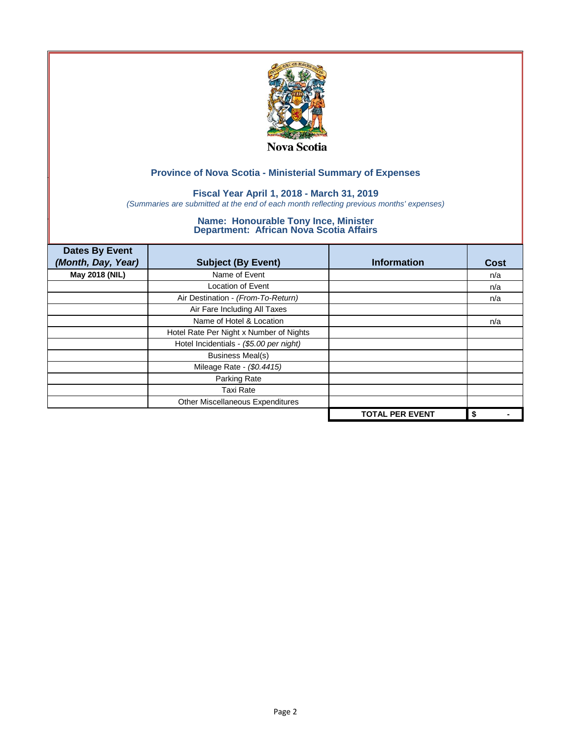

## **Fiscal Year April 1, 2018 - March 31, 2019**

*(Summaries are submitted at the end of each month reflecting previous months' expenses)*

| <b>Dates By Event</b><br>(Month, Day, Year) | <b>Subject (By Event)</b>               | <b>Information</b>     | <b>Cost</b> |
|---------------------------------------------|-----------------------------------------|------------------------|-------------|
| May 2018 (NIL)                              | Name of Event                           |                        | n/a         |
|                                             | Location of Event                       |                        | n/a         |
|                                             | Air Destination - (From-To-Return)      |                        | n/a         |
|                                             | Air Fare Including All Taxes            |                        |             |
|                                             | Name of Hotel & Location                |                        | n/a         |
|                                             | Hotel Rate Per Night x Number of Nights |                        |             |
|                                             | Hotel Incidentials - (\$5.00 per night) |                        |             |
|                                             | <b>Business Meal(s)</b>                 |                        |             |
|                                             | Mileage Rate - (\$0.4415)               |                        |             |
|                                             | Parking Rate                            |                        |             |
|                                             | <b>Taxi Rate</b>                        |                        |             |
|                                             | Other Miscellaneous Expenditures        |                        |             |
|                                             |                                         | <b>TOTAL PER EVENT</b> | \$          |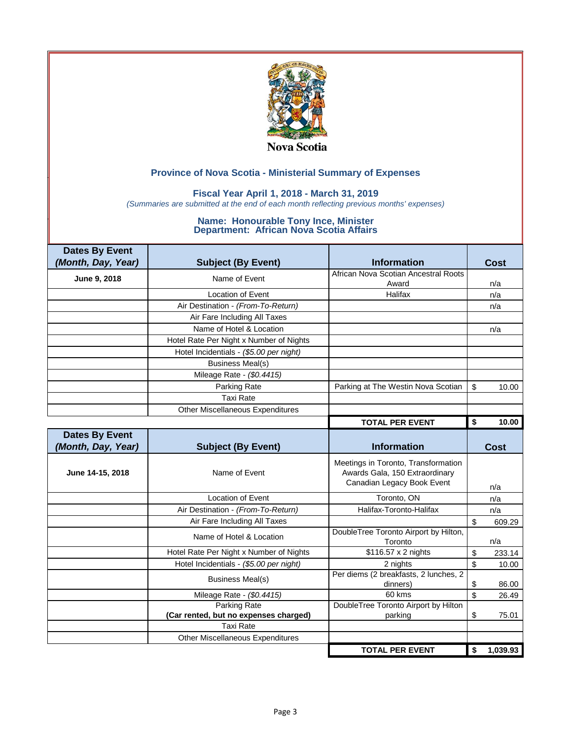

## **Fiscal Year April 1, 2018 - March 31, 2019**

*(Summaries are submitted at the end of each month reflecting previous months' expenses)*

| <b>Dates By Event</b> |                                         |                                                                                                     |                |
|-----------------------|-----------------------------------------|-----------------------------------------------------------------------------------------------------|----------------|
| (Month, Day, Year)    | <b>Subject (By Event)</b>               | <b>Information</b>                                                                                  | Cost           |
| June 9, 2018          | Name of Event                           | African Nova Scotian Ancestral Roots                                                                |                |
|                       |                                         | Award                                                                                               | n/a            |
|                       | <b>Location of Event</b>                | Halifax                                                                                             | n/a            |
|                       | Air Destination - (From-To-Return)      |                                                                                                     | n/a            |
|                       | Air Fare Including All Taxes            |                                                                                                     |                |
|                       | Name of Hotel & Location                |                                                                                                     | n/a            |
|                       | Hotel Rate Per Night x Number of Nights |                                                                                                     |                |
|                       | Hotel Incidentials - (\$5.00 per night) |                                                                                                     |                |
|                       | <b>Business Meal(s)</b>                 |                                                                                                     |                |
|                       | Mileage Rate - (\$0.4415)               |                                                                                                     |                |
|                       | Parking Rate                            | Parking at The Westin Nova Scotian                                                                  | \$<br>10.00    |
|                       | <b>Taxi Rate</b>                        |                                                                                                     |                |
|                       | <b>Other Miscellaneous Expenditures</b> |                                                                                                     |                |
|                       |                                         | <b>TOTAL PER EVENT</b>                                                                              | \$<br>10.00    |
| <b>Dates By Event</b> |                                         |                                                                                                     |                |
| (Month, Day, Year)    | <b>Subject (By Event)</b>               | <b>Information</b>                                                                                  | Cost           |
| June 14-15, 2018      | Name of Event                           | Meetings in Toronto, Transformation<br>Awards Gala, 150 Extraordinary<br>Canadian Legacy Book Event | n/a            |
|                       | <b>Location of Event</b>                | Toronto, ON                                                                                         | n/a            |
|                       | Air Destination - (From-To-Return)      | Halifax-Toronto-Halifax                                                                             | n/a            |
|                       | Air Fare Including All Taxes            |                                                                                                     | \$<br>609.29   |
|                       | Name of Hotel & Location                | DoubleTree Toronto Airport by Hilton,<br>Toronto                                                    | n/a            |
|                       | Hotel Rate Per Night x Number of Nights | \$116.57 x 2 nights                                                                                 | \$<br>233.14   |
|                       | Hotel Incidentials - (\$5.00 per night) | 2 nights                                                                                            | \$<br>10.00    |
|                       | <b>Business Meal(s)</b>                 | Per diems (2 breakfasts, 2 lunches, 2<br>dinners)                                                   | \$<br>86.00    |
|                       | Mileage Rate - (\$0.4415)               | 60 kms                                                                                              | \$<br>26.49    |
|                       | <b>Parking Rate</b>                     | DoubleTree Toronto Airport by Hilton                                                                |                |
|                       | (Car rented, but no expenses charged)   | parking                                                                                             | \$<br>75.01    |
|                       | <b>Taxi Rate</b>                        |                                                                                                     |                |
|                       | <b>Other Miscellaneous Expenditures</b> |                                                                                                     |                |
|                       |                                         | <b>TOTAL PER EVENT</b>                                                                              | 1,039.93<br>\$ |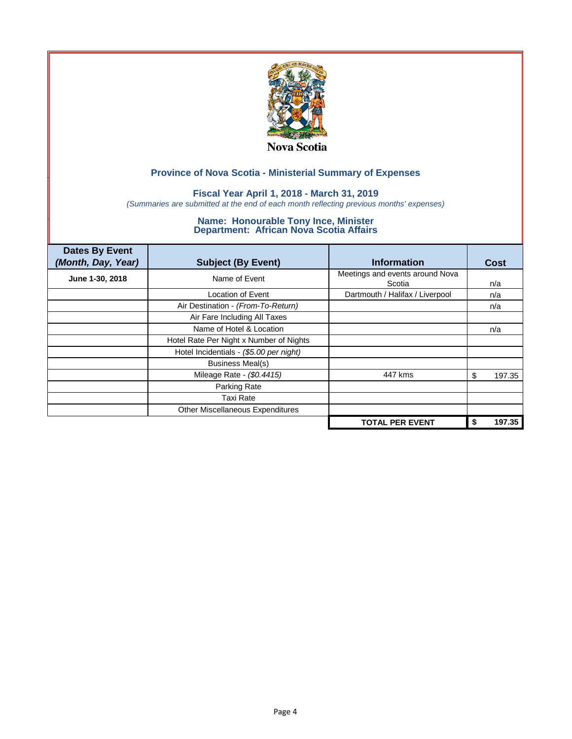

## **Fiscal Year April 1, 2018 - March 31, 2019**

*(Summaries are submitted at the end of each month reflecting previous months' expenses)*

| <b>Dates By Event</b><br>(Month, Day, Year) | <b>Subject (By Event)</b>               | <b>Information</b>                        | <b>Cost</b>  |
|---------------------------------------------|-----------------------------------------|-------------------------------------------|--------------|
| June 1-30, 2018                             | Name of Event                           | Meetings and events around Nova<br>Scotia | n/a          |
|                                             | Location of Event                       | Dartmouth / Halifax / Liverpool           | n/a          |
|                                             | Air Destination - (From-To-Return)      |                                           | n/a          |
|                                             | Air Fare Including All Taxes            |                                           |              |
|                                             | Name of Hotel & Location                |                                           | n/a          |
|                                             | Hotel Rate Per Night x Number of Nights |                                           |              |
|                                             | Hotel Incidentials - (\$5.00 per night) |                                           |              |
|                                             | Business Meal(s)                        |                                           |              |
|                                             | Mileage Rate - (\$0.4415)               | 447 kms                                   | 197.35<br>S  |
|                                             | Parking Rate                            |                                           |              |
|                                             | <b>Taxi Rate</b>                        |                                           |              |
|                                             | Other Miscellaneous Expenditures        |                                           |              |
|                                             |                                         | <b>TOTAL PER EVENT</b>                    | 197.35<br>\$ |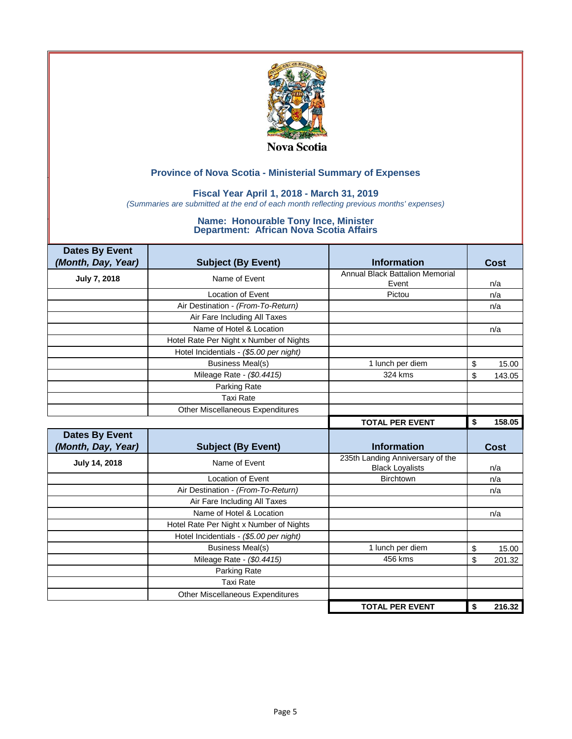

## **Fiscal Year April 1, 2018 - March 31, 2019**

*(Summaries are submitted at the end of each month reflecting previous months' expenses)*

| <b>Dates By Event</b> |                                         |                                        |              |
|-----------------------|-----------------------------------------|----------------------------------------|--------------|
| (Month, Day, Year)    | <b>Subject (By Event)</b>               | <b>Information</b>                     | <b>Cost</b>  |
| July 7, 2018          | Name of Event                           | <b>Annual Black Battalion Memorial</b> |              |
|                       |                                         | Event                                  | n/a          |
|                       | Location of Event                       | Pictou                                 | n/a          |
|                       | Air Destination - (From-To-Return)      |                                        | n/a          |
|                       | Air Fare Including All Taxes            |                                        |              |
|                       | Name of Hotel & Location                |                                        | n/a          |
|                       | Hotel Rate Per Night x Number of Nights |                                        |              |
|                       | Hotel Incidentials - (\$5.00 per night) |                                        |              |
|                       | <b>Business Meal(s)</b>                 | 1 lunch per diem                       | \$<br>15.00  |
|                       | Mileage Rate - (\$0.4415)               | 324 kms                                | \$<br>143.05 |
|                       | Parking Rate                            |                                        |              |
|                       | Taxi Rate                               |                                        |              |
|                       | <b>Other Miscellaneous Expenditures</b> |                                        |              |
|                       |                                         | <b>TOTAL PER EVENT</b>                 | 158.05<br>\$ |
|                       |                                         |                                        |              |
| <b>Dates By Event</b> |                                         |                                        |              |
| (Month, Day, Year)    | <b>Subject (By Event)</b>               | <b>Information</b>                     | Cost         |
|                       | Name of Event                           | 235th Landing Anniversary of the       |              |
| July 14, 2018         |                                         | <b>Black Loyalists</b>                 | n/a          |
|                       | Location of Event                       | <b>Birchtown</b>                       | n/a          |
|                       | Air Destination - (From-To-Return)      |                                        | n/a          |
|                       | Air Fare Including All Taxes            |                                        |              |
|                       | Name of Hotel & Location                |                                        | n/a          |
|                       | Hotel Rate Per Night x Number of Nights |                                        |              |
|                       | Hotel Incidentials - (\$5.00 per night) |                                        |              |
|                       | <b>Business Meal(s)</b>                 | 1 lunch per diem                       | \$<br>15.00  |
|                       | Mileage Rate - (\$0.4415)               | 456 kms                                | \$<br>201.32 |
|                       | Parking Rate                            |                                        |              |
|                       | <b>Taxi Rate</b>                        |                                        |              |
|                       | <b>Other Miscellaneous Expenditures</b> |                                        |              |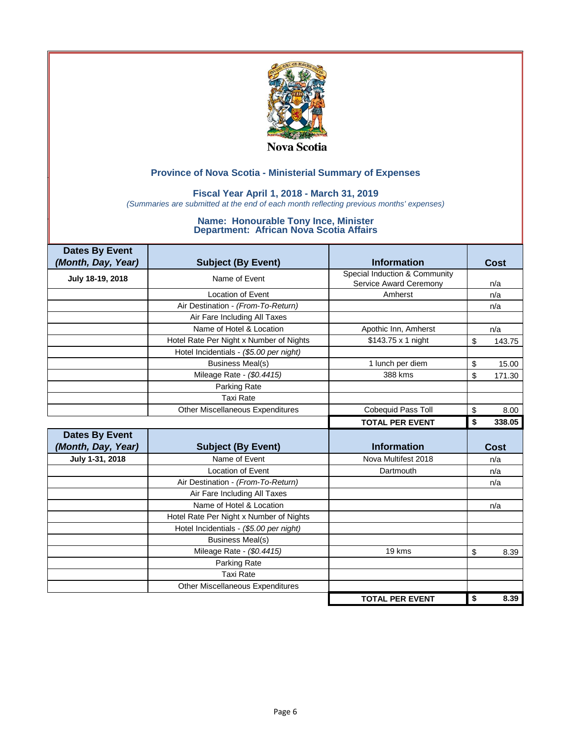

### **Fiscal Year April 1, 2018 - March 31, 2019**

*(Summaries are submitted at the end of each month reflecting previous months' expenses)*

| <b>Dates By Event</b><br>(Month, Day, Year) | <b>Subject (By Event)</b>               | <b>Information</b>            | Cost         |
|---------------------------------------------|-----------------------------------------|-------------------------------|--------------|
|                                             |                                         | Special Induction & Community |              |
| July 18-19, 2018                            | Name of Event                           | Service Award Ceremony        | n/a          |
|                                             | Location of Event                       | Amherst                       | n/a          |
|                                             | Air Destination - (From-To-Return)      |                               | n/a          |
|                                             | Air Fare Including All Taxes            |                               |              |
|                                             | Name of Hotel & Location                | Apothic Inn, Amherst          | n/a          |
|                                             | Hotel Rate Per Night x Number of Nights | \$143.75 x 1 night            | \$<br>143.75 |
|                                             | Hotel Incidentials - (\$5.00 per night) |                               |              |
|                                             | <b>Business Meal(s)</b>                 | 1 lunch per diem              | \$<br>15.00  |
|                                             | Mileage Rate - (\$0.4415)               | 388 kms                       | \$<br>171.30 |
|                                             | Parking Rate                            |                               |              |
|                                             | Taxi Rate                               |                               |              |
|                                             | <b>Other Miscellaneous Expenditures</b> | Cobequid Pass Toll            | \$<br>8.00   |
|                                             |                                         | <b>TOTAL PER EVENT</b>        | \$<br>338.05 |
| <b>Dates By Event</b>                       |                                         |                               |              |
| (Month, Day, Year)                          |                                         | <b>Information</b>            | <b>Cost</b>  |
|                                             | <b>Subject (By Event)</b>               |                               |              |
| July 1-31, 2018                             | Name of Event                           | Nova Multifest 2018           | n/a          |
|                                             | <b>Location of Event</b>                | Dartmouth                     | n/a          |
|                                             | Air Destination - (From-To-Return)      |                               | n/a          |
|                                             | Air Fare Including All Taxes            |                               |              |
|                                             | Name of Hotel & Location                |                               | n/a          |
|                                             | Hotel Rate Per Night x Number of Nights |                               |              |
|                                             | Hotel Incidentials - (\$5.00 per night) |                               |              |
|                                             | <b>Business Meal(s)</b>                 |                               |              |
|                                             | Mileage Rate - (\$0.4415)               | 19 kms                        | \$<br>8.39   |
|                                             | Parking Rate                            |                               |              |
|                                             | <b>Taxi Rate</b>                        |                               |              |
|                                             | <b>Other Miscellaneous Expenditures</b> |                               |              |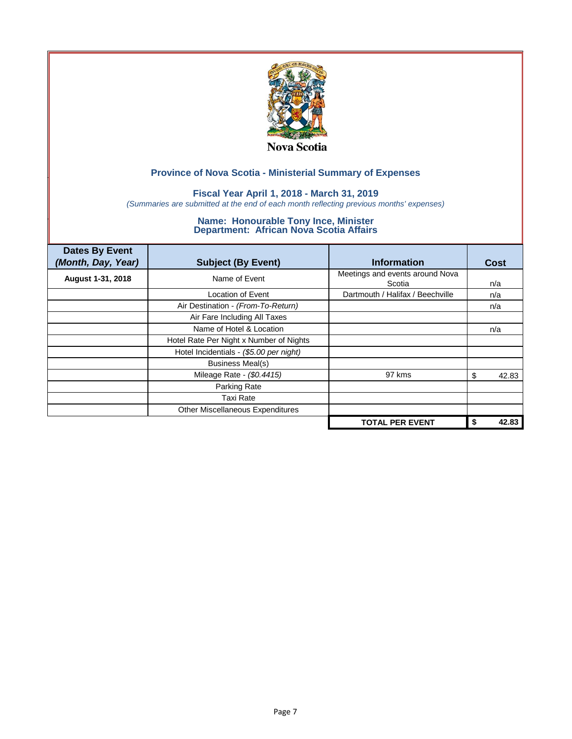

## **Fiscal Year April 1, 2018 - March 31, 2019**

*(Summaries are submitted at the end of each month reflecting previous months' expenses)*

| <b>Dates By Event</b><br>(Month, Day, Year) | <b>Subject (By Event)</b>               | <b>Information</b>                        | <b>Cost</b> |
|---------------------------------------------|-----------------------------------------|-------------------------------------------|-------------|
| August 1-31, 2018                           | Name of Event                           | Meetings and events around Nova<br>Scotia | n/a         |
|                                             | Location of Event                       | Dartmouth / Halifax / Beechville          | n/a         |
|                                             | Air Destination - (From-To-Return)      |                                           | n/a         |
|                                             | Air Fare Including All Taxes            |                                           |             |
|                                             | Name of Hotel & Location                |                                           | n/a         |
|                                             | Hotel Rate Per Night x Number of Nights |                                           |             |
|                                             | Hotel Incidentials - (\$5.00 per night) |                                           |             |
|                                             | Business Meal(s)                        |                                           |             |
|                                             | Mileage Rate - (\$0.4415)               | 97 kms                                    | 42.83<br>S  |
|                                             | Parking Rate                            |                                           |             |
|                                             | <b>Taxi Rate</b>                        |                                           |             |
|                                             | Other Miscellaneous Expenditures        |                                           |             |
|                                             |                                         | <b>TOTAL PER EVENT</b>                    | 42.83<br>\$ |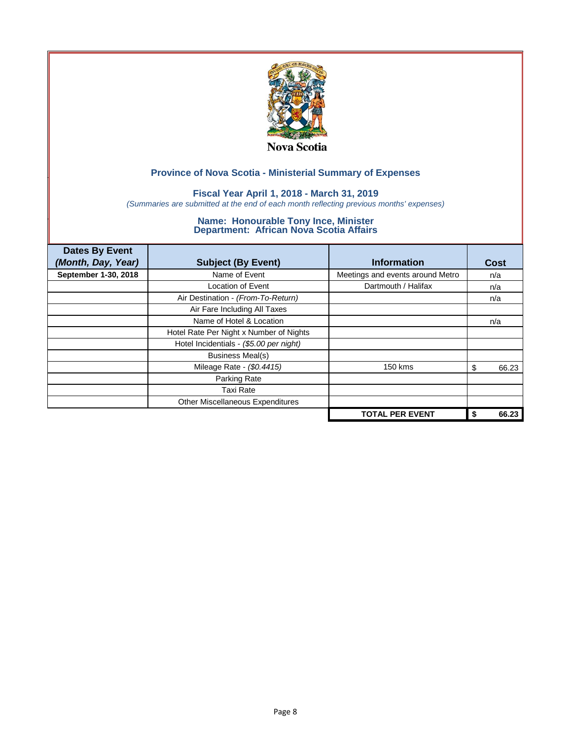

## **Fiscal Year April 1, 2018 - March 31, 2019**

*(Summaries are submitted at the end of each month reflecting previous months' expenses)*

| <b>Dates By Event</b><br>(Month, Day, Year) | <b>Subject (By Event)</b>               | <b>Information</b>               | Cost        |
|---------------------------------------------|-----------------------------------------|----------------------------------|-------------|
| September 1-30, 2018                        | Name of Event                           | Meetings and events around Metro | n/a         |
|                                             | <b>Location of Event</b>                | Dartmouth / Halifax              | n/a         |
|                                             | Air Destination - (From-To-Return)      |                                  | n/a         |
|                                             | Air Fare Including All Taxes            |                                  |             |
|                                             | Name of Hotel & Location                |                                  | n/a         |
|                                             | Hotel Rate Per Night x Number of Nights |                                  |             |
|                                             | Hotel Incidentials - (\$5.00 per night) |                                  |             |
|                                             | <b>Business Meal(s)</b>                 |                                  |             |
|                                             | Mileage Rate - (\$0.4415)               | 150 kms                          | 66.23<br>\$ |
|                                             | Parking Rate                            |                                  |             |
|                                             | Taxi Rate                               |                                  |             |
|                                             | Other Miscellaneous Expenditures        |                                  |             |
|                                             |                                         | <b>TOTAL PER EVENT</b>           | 66.23       |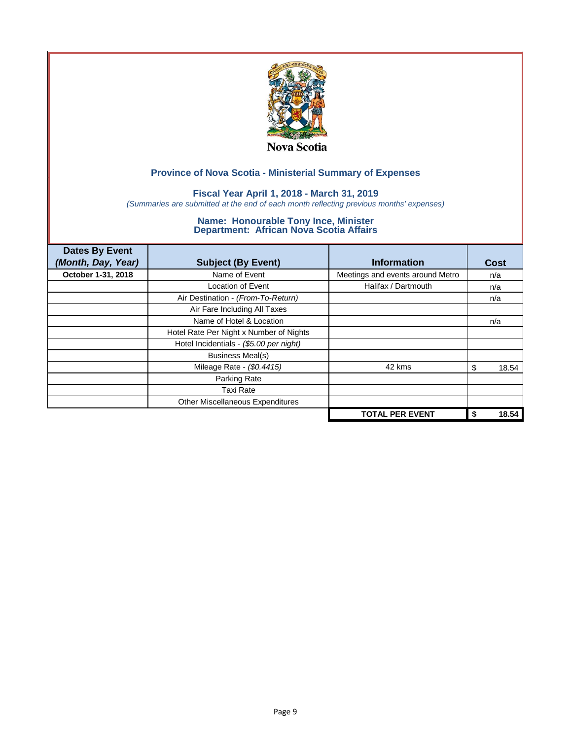

## **Fiscal Year April 1, 2018 - March 31, 2019**

*(Summaries are submitted at the end of each month reflecting previous months' expenses)*

| <b>Dates By Event</b><br>(Month, Day, Year) | <b>Subject (By Event)</b>               | <b>Information</b>               | Cost        |
|---------------------------------------------|-----------------------------------------|----------------------------------|-------------|
| October 1-31, 2018                          | Name of Event                           | Meetings and events around Metro | n/a         |
|                                             | Location of Event                       | Halifax / Dartmouth              | n/a         |
|                                             | Air Destination - (From-To-Return)      |                                  | n/a         |
|                                             | Air Fare Including All Taxes            |                                  |             |
|                                             | Name of Hotel & Location                |                                  | n/a         |
|                                             | Hotel Rate Per Night x Number of Nights |                                  |             |
|                                             | Hotel Incidentials - (\$5.00 per night) |                                  |             |
|                                             | <b>Business Meal(s)</b>                 |                                  |             |
|                                             | Mileage Rate - (\$0.4415)               | 42 kms                           | 18.54<br>S  |
|                                             | Parking Rate                            |                                  |             |
|                                             | Taxi Rate                               |                                  |             |
|                                             | Other Miscellaneous Expenditures        |                                  |             |
|                                             |                                         | <b>TOTAL PER EVENT</b>           | 18.54<br>\$ |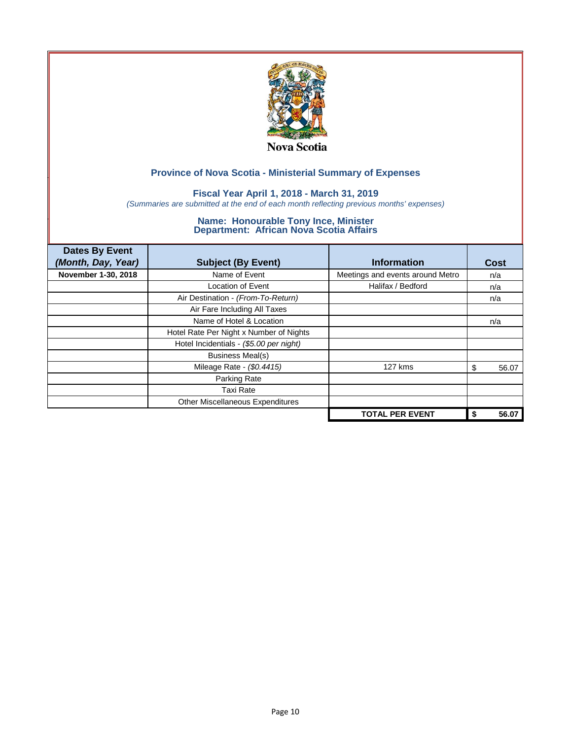

## **Fiscal Year April 1, 2018 - March 31, 2019**

*(Summaries are submitted at the end of each month reflecting previous months' expenses)*

| <b>Dates By Event</b><br>(Month, Day, Year) | <b>Subject (By Event)</b>               | <b>Information</b>               | Cost        |
|---------------------------------------------|-----------------------------------------|----------------------------------|-------------|
| November 1-30, 2018                         | Name of Event                           | Meetings and events around Metro | n/a         |
|                                             | <b>Location of Event</b>                | Halifax / Bedford                | n/a         |
|                                             | Air Destination - (From-To-Return)      |                                  | n/a         |
|                                             | Air Fare Including All Taxes            |                                  |             |
|                                             | Name of Hotel & Location                |                                  | n/a         |
|                                             | Hotel Rate Per Night x Number of Nights |                                  |             |
|                                             | Hotel Incidentials - (\$5.00 per night) |                                  |             |
|                                             | <b>Business Meal(s)</b>                 |                                  |             |
|                                             | Mileage Rate - (\$0.4415)               | 127 kms                          | 56.07<br>\$ |
|                                             | Parking Rate                            |                                  |             |
|                                             | Taxi Rate                               |                                  |             |
|                                             | Other Miscellaneous Expenditures        |                                  |             |
|                                             |                                         | <b>TOTAL PER EVENT</b>           | 56.07       |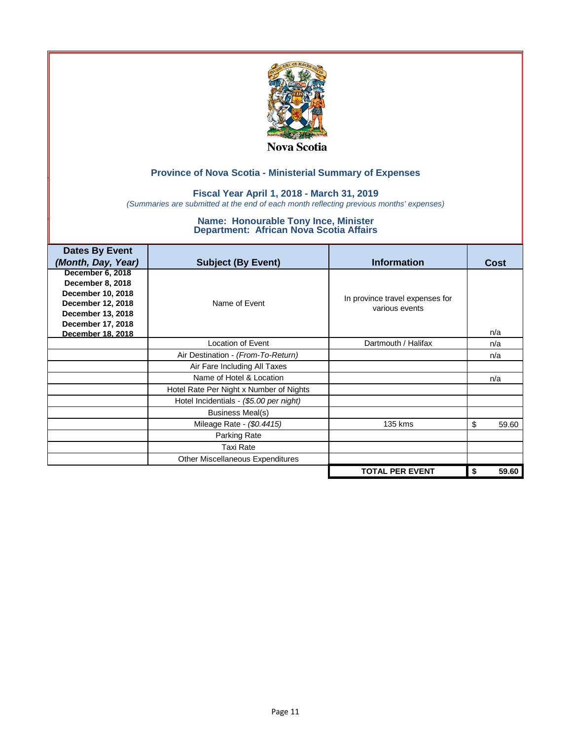

### **Fiscal Year April 1, 2018 - March 31, 2019**

*(Summaries are submitted at the end of each month reflecting previous months' expenses)*

| <b>Dates By Event</b> |                                         |                                 |             |
|-----------------------|-----------------------------------------|---------------------------------|-------------|
| (Month, Day, Year)    | <b>Subject (By Event)</b>               | <b>Information</b>              | Cost        |
| December 6, 2018      |                                         |                                 |             |
| December 8, 2018      |                                         |                                 |             |
| December 10, 2018     |                                         | In province travel expenses for |             |
| December 12, 2018     | Name of Event                           | various events                  |             |
| December 13, 2018     |                                         |                                 |             |
| December 17, 2018     |                                         |                                 |             |
| December 18, 2018     |                                         |                                 | n/a         |
|                       | Location of Event                       | Dartmouth / Halifax             | n/a         |
|                       | Air Destination - (From-To-Return)      |                                 | n/a         |
|                       | Air Fare Including All Taxes            |                                 |             |
|                       | Name of Hotel & Location                |                                 | n/a         |
|                       | Hotel Rate Per Night x Number of Nights |                                 |             |
|                       | Hotel Incidentials - (\$5.00 per night) |                                 |             |
|                       | <b>Business Meal(s)</b>                 |                                 |             |
|                       | Mileage Rate - (\$0.4415)               | 135 kms                         | \$<br>59.60 |
|                       | <b>Parking Rate</b>                     |                                 |             |
|                       | <b>Taxi Rate</b>                        |                                 |             |
|                       | Other Miscellaneous Expenditures        |                                 |             |
|                       |                                         | <b>TOTAL PER EVENT</b>          | 59.60<br>\$ |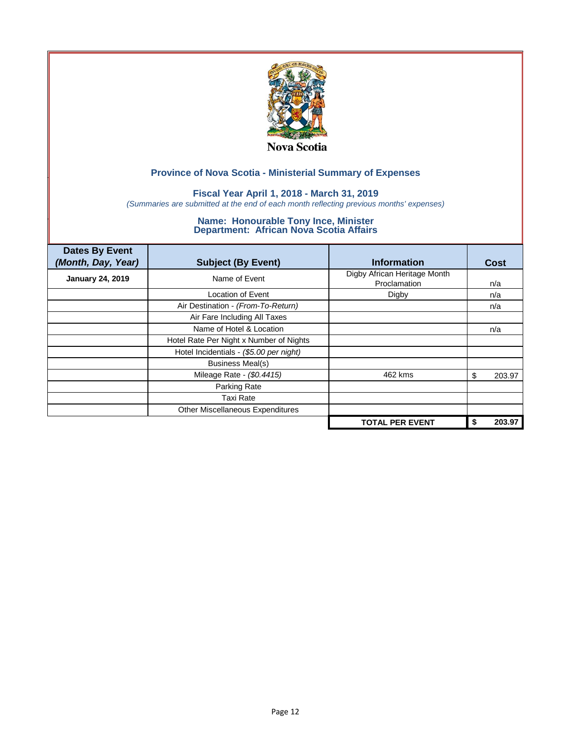

## **Fiscal Year April 1, 2018 - March 31, 2019**

*(Summaries are submitted at the end of each month reflecting previous months' expenses)*

| <b>Dates By Event</b><br>(Month, Day, Year) | <b>Subject (By Event)</b>               | <b>Information</b>                           | Cost         |
|---------------------------------------------|-----------------------------------------|----------------------------------------------|--------------|
| <b>January 24, 2019</b>                     | Name of Event                           | Digby African Heritage Month<br>Proclamation | n/a          |
|                                             | Location of Event                       | Digby                                        | n/a          |
|                                             | Air Destination - (From-To-Return)      |                                              | n/a          |
|                                             | Air Fare Including All Taxes            |                                              |              |
|                                             | Name of Hotel & Location                |                                              | n/a          |
|                                             | Hotel Rate Per Night x Number of Nights |                                              |              |
|                                             | Hotel Incidentials - (\$5.00 per night) |                                              |              |
|                                             | <b>Business Meal(s)</b>                 |                                              |              |
|                                             | Mileage Rate - (\$0.4415)               | 462 kms                                      | 203.97<br>\$ |
|                                             | Parking Rate                            |                                              |              |
|                                             | Taxi Rate                               |                                              |              |
|                                             | <b>Other Miscellaneous Expenditures</b> |                                              |              |
|                                             |                                         | <b>TOTAL PER EVENT</b>                       | 203.97       |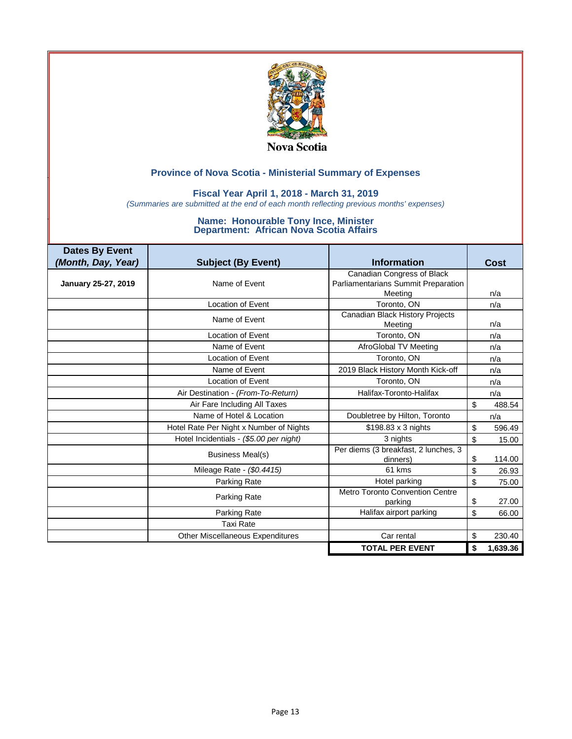

### **Fiscal Year April 1, 2018 - March 31, 2019**

*(Summaries are submitted at the end of each month reflecting previous months' expenses)*

| <b>Dates By Event</b> |                                         |                                                  |                |
|-----------------------|-----------------------------------------|--------------------------------------------------|----------------|
| (Month, Day, Year)    | <b>Subject (By Event)</b>               | <b>Information</b>                               | Cost           |
|                       |                                         | Canadian Congress of Black                       |                |
| January 25-27, 2019   | Name of Event                           | Parliamentarians Summit Preparation              |                |
|                       |                                         | Meeting                                          | n/a            |
|                       | <b>Location of Event</b>                | Toronto, ON                                      | n/a            |
|                       | Name of Event                           | Canadian Black History Projects<br>Meeting       | n/a            |
|                       | <b>Location of Event</b>                | Toronto, ON                                      | n/a            |
|                       | Name of Event                           | AfroGlobal TV Meeting                            | n/a            |
|                       | <b>Location of Event</b>                | Toronto, ON                                      | n/a            |
|                       | Name of Event                           | 2019 Black History Month Kick-off                | n/a            |
|                       | <b>Location of Event</b>                | Toronto, ON                                      | n/a            |
|                       | Air Destination - (From-To-Return)      | Halifax-Toronto-Halifax                          | n/a            |
|                       | Air Fare Including All Taxes            |                                                  | \$<br>488.54   |
|                       | Name of Hotel & Location                | Doubletree by Hilton, Toronto                    | n/a            |
|                       | Hotel Rate Per Night x Number of Nights | \$198.83 x 3 nights                              | \$<br>596.49   |
|                       | Hotel Incidentials - (\$5.00 per night) | 3 nights                                         | \$<br>15.00    |
|                       | <b>Business Meal(s)</b>                 | Per diems (3 breakfast, 2 lunches, 3<br>dinners) | \$<br>114.00   |
|                       | Mileage Rate - (\$0.4415)               | 61 kms                                           | \$<br>26.93    |
|                       | Parking Rate                            | Hotel parking                                    | \$<br>75.00    |
|                       | Parking Rate                            | Metro Toronto Convention Centre<br>parking       | \$<br>27.00    |
|                       | Parking Rate                            | Halifax airport parking                          | \$<br>66.00    |
|                       | Taxi Rate                               |                                                  |                |
|                       | <b>Other Miscellaneous Expenditures</b> | Car rental                                       | \$<br>230.40   |
|                       |                                         | <b>TOTAL PER EVENT</b>                           | \$<br>1,639.36 |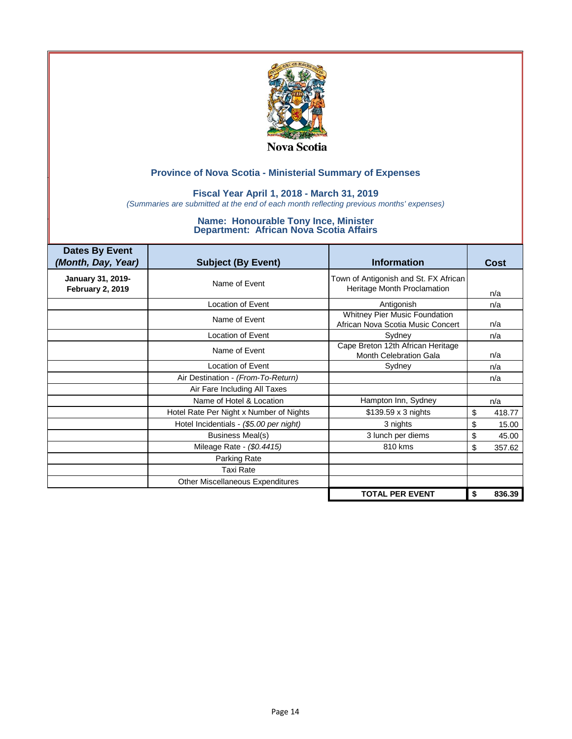

### **Fiscal Year April 1, 2018 - March 31, 2019**

*(Summaries are submitted at the end of each month reflecting previous months' expenses)*

| <b>Dates By Event</b><br>(Month, Day, Year)  | <b>Subject (By Event)</b>               | <b>Information</b>                                                   | <b>Cost</b>  |
|----------------------------------------------|-----------------------------------------|----------------------------------------------------------------------|--------------|
| January 31, 2019-<br><b>February 2, 2019</b> | Name of Event                           | Town of Antigonish and St. FX African<br>Heritage Month Proclamation | n/a          |
|                                              | Location of Event                       | Antigonish                                                           | n/a          |
|                                              | Name of Event                           | Whitney Pier Music Foundation<br>African Nova Scotia Music Concert   | n/a          |
|                                              | <b>Location of Event</b>                | Sydney                                                               | n/a          |
|                                              | Name of Event                           | Cape Breton 12th African Heritage<br>Month Celebration Gala          | n/a          |
|                                              | <b>Location of Event</b>                | Sydney                                                               | n/a          |
|                                              | Air Destination - (From-To-Return)      |                                                                      | n/a          |
|                                              | Air Fare Including All Taxes            |                                                                      |              |
|                                              | Name of Hotel & Location                | Hampton Inn, Sydney                                                  | n/a          |
|                                              | Hotel Rate Per Night x Number of Nights | \$139.59 x 3 nights                                                  | \$<br>418.77 |
|                                              | Hotel Incidentials - (\$5.00 per night) | 3 nights                                                             | 15.00<br>\$  |
|                                              | <b>Business Meal(s)</b>                 | 3 lunch per diems                                                    | \$<br>45.00  |
|                                              | Mileage Rate - (\$0.4415)               | 810 kms                                                              | 357.62<br>\$ |
|                                              | Parking Rate                            |                                                                      |              |
|                                              | <b>Taxi Rate</b>                        |                                                                      |              |
|                                              | Other Miscellaneous Expenditures        |                                                                      |              |
|                                              |                                         | <b>TOTAL PER EVENT</b>                                               | 836.39<br>\$ |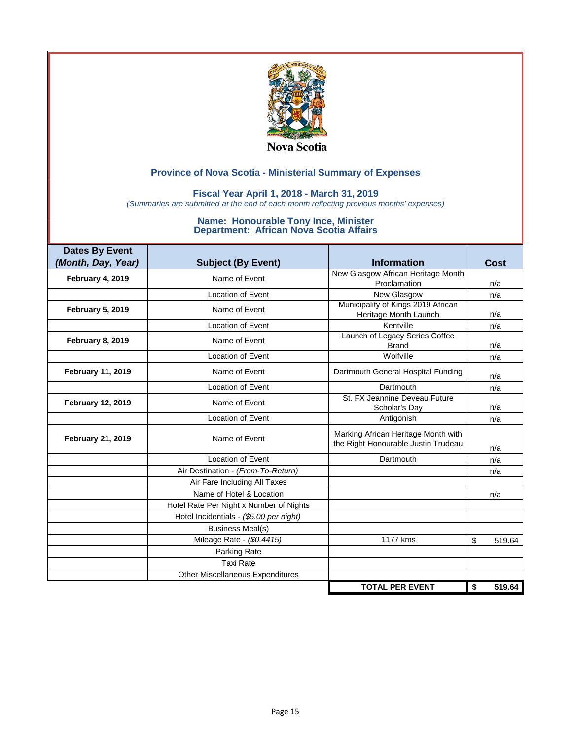

### **Fiscal Year April 1, 2018 - March 31, 2019**

*(Summaries are submitted at the end of each month reflecting previous months' expenses)*

| <b>Dates By Event</b>    |                                         | <b>Information</b>                                                         |              |
|--------------------------|-----------------------------------------|----------------------------------------------------------------------------|--------------|
| (Month, Day, Year)       | <b>Subject (By Event)</b>               |                                                                            | Cost         |
| February 4, 2019         | Name of Event                           | New Glasgow African Heritage Month<br>Proclamation                         | n/a          |
|                          | Location of Event                       | New Glasgow                                                                | n/a          |
| <b>February 5, 2019</b>  | Name of Event                           | Municipality of Kings 2019 African<br>Heritage Month Launch                | n/a          |
|                          | Location of Event                       | Kentville                                                                  | n/a          |
| <b>February 8, 2019</b>  | Name of Event                           | Launch of Legacy Series Coffee<br><b>Brand</b>                             | n/a          |
|                          | <b>Location of Event</b>                | Wolfville                                                                  | n/a          |
| <b>February 11, 2019</b> | Name of Event                           | Dartmouth General Hospital Funding                                         | n/a          |
|                          | <b>Location of Event</b>                | Dartmouth                                                                  | n/a          |
| <b>February 12, 2019</b> | Name of Event                           | St. FX Jeannine Deveau Future<br>Scholar's Day                             | n/a          |
|                          | Location of Event                       | Antigonish                                                                 | n/a          |
| <b>February 21, 2019</b> | Name of Event                           | Marking African Heritage Month with<br>the Right Honourable Justin Trudeau | n/a          |
|                          | <b>Location of Event</b>                | Dartmouth                                                                  | n/a          |
|                          | Air Destination - (From-To-Return)      |                                                                            | n/a          |
|                          | Air Fare Including All Taxes            |                                                                            |              |
|                          | Name of Hotel & Location                |                                                                            | n/a          |
|                          | Hotel Rate Per Night x Number of Nights |                                                                            |              |
|                          | Hotel Incidentials - (\$5.00 per night) |                                                                            |              |
|                          | <b>Business Meal(s)</b>                 |                                                                            |              |
|                          | Mileage Rate - (\$0.4415)               | 1177 kms                                                                   | \$<br>519.64 |
|                          | Parking Rate                            |                                                                            |              |
|                          | <b>Taxi Rate</b>                        |                                                                            |              |
|                          | Other Miscellaneous Expenditures        |                                                                            |              |
|                          |                                         | <b>TOTAL PER EVENT</b>                                                     | 519.64<br>\$ |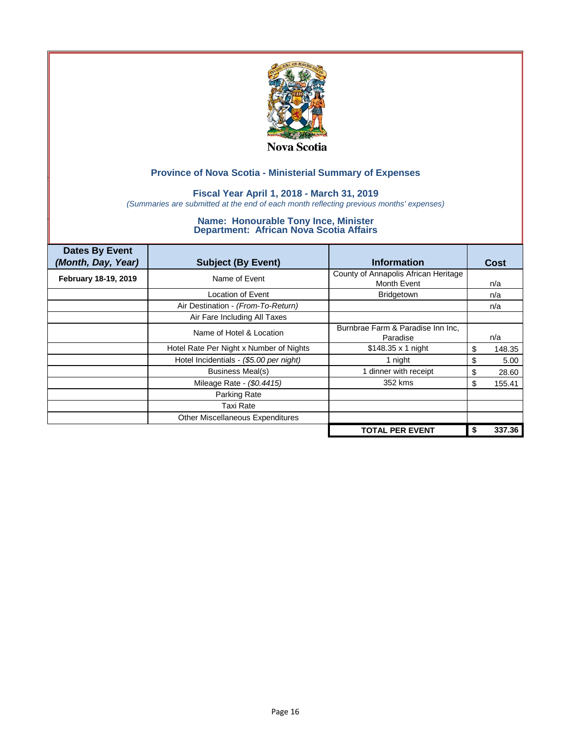

## **Fiscal Year April 1, 2018 - March 31, 2019**

*(Summaries are submitted at the end of each month reflecting previous months' expenses)*

| <b>Dates By Event</b><br>(Month, Day, Year) | <b>Subject (By Event)</b>               | <b>Information</b>                                  | Cost |        |
|---------------------------------------------|-----------------------------------------|-----------------------------------------------------|------|--------|
| February 18-19, 2019                        | Name of Event                           | County of Annapolis African Heritage<br>Month Event | n/a  |        |
|                                             | Location of Event                       | Bridgetown                                          | n/a  |        |
|                                             | Air Destination - (From-To-Return)      |                                                     | n/a  |        |
|                                             | Air Fare Including All Taxes            |                                                     |      |        |
|                                             | Name of Hotel & Location                | Burnbrae Farm & Paradise Inn Inc.<br>Paradise       | n/a  |        |
|                                             | Hotel Rate Per Night x Number of Nights | \$148.35 x 1 night                                  | \$   | 148.35 |
|                                             | Hotel Incidentials - (\$5.00 per night) | 1 night                                             | \$   | 5.00   |
|                                             | <b>Business Meal(s)</b>                 | 1 dinner with receipt                               | S    | 28.60  |
|                                             | Mileage Rate - (\$0.4415)               | 352 kms                                             | S    | 155.41 |
|                                             | Parking Rate                            |                                                     |      |        |
|                                             | Taxi Rate                               |                                                     |      |        |
|                                             | Other Miscellaneous Expenditures        |                                                     |      |        |
|                                             |                                         | <b>TOTAL PER EVENT</b>                              |      | 337.36 |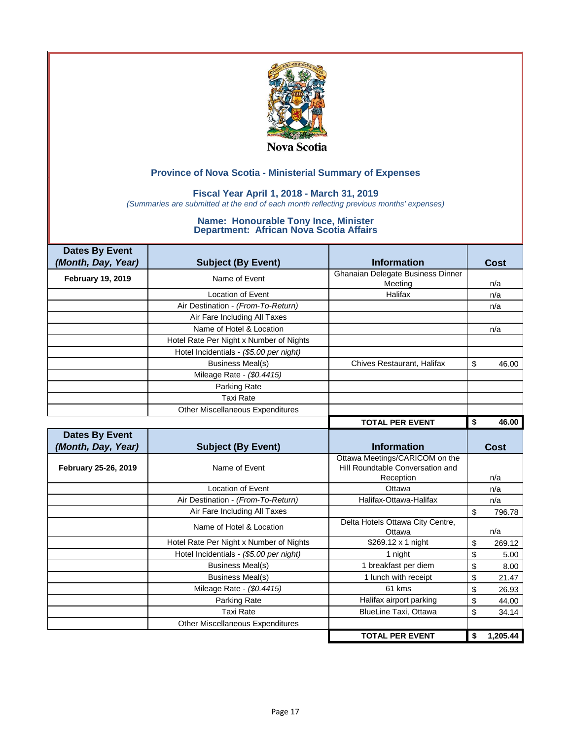

### **Fiscal Year April 1, 2018 - March 31, 2019**

*(Summaries are submitted at the end of each month reflecting previous months' expenses)*

| <b>Dates By Event</b><br>(Month, Day, Year) | <b>Subject (By Event)</b>               | <b>Information</b>                         | Cost           |
|---------------------------------------------|-----------------------------------------|--------------------------------------------|----------------|
| <b>February 19, 2019</b>                    | Name of Event                           | Ghanaian Delegate Business Dinner          |                |
|                                             |                                         | Meeting                                    | n/a            |
|                                             | <b>Location of Event</b>                | Halifax                                    | n/a            |
|                                             | Air Destination - (From-To-Return)      |                                            | n/a            |
|                                             | Air Fare Including All Taxes            |                                            |                |
|                                             | Name of Hotel & Location                |                                            | n/a            |
|                                             | Hotel Rate Per Night x Number of Nights |                                            |                |
|                                             | Hotel Incidentials - (\$5.00 per night) |                                            |                |
|                                             | <b>Business Meal(s)</b>                 | Chives Restaurant, Halifax                 | \$<br>46.00    |
|                                             | Mileage Rate - (\$0.4415)               |                                            |                |
|                                             | Parking Rate                            |                                            |                |
|                                             | <b>Taxi Rate</b>                        |                                            |                |
|                                             | <b>Other Miscellaneous Expenditures</b> |                                            |                |
|                                             |                                         | <b>TOTAL PER EVENT</b>                     | \$<br>46.00    |
| <b>Dates By Event</b>                       |                                         |                                            |                |
| (Month, Day, Year)                          | <b>Subject (By Event)</b>               | <b>Information</b>                         | <b>Cost</b>    |
|                                             |                                         | Ottawa Meetings/CARICOM on the             |                |
| February 25-26, 2019                        | Name of Event                           | Hill Roundtable Conversation and           |                |
|                                             |                                         | Reception                                  | n/a            |
|                                             | Location of Event                       | Ottawa                                     | n/a            |
|                                             | Air Destination - (From-To-Return)      | Halifax-Ottawa-Halifax                     | n/a            |
|                                             | Air Fare Including All Taxes            |                                            | \$<br>796.78   |
|                                             | Name of Hotel & Location                | Delta Hotels Ottawa City Centre,<br>Ottawa | n/a            |
|                                             | Hotel Rate Per Night x Number of Nights | \$269.12 x 1 night                         | \$<br>269.12   |
|                                             | Hotel Incidentials - (\$5.00 per night) | 1 night                                    | \$<br>5.00     |
|                                             | <b>Business Meal(s)</b>                 | 1 breakfast per diem                       | \$<br>8.00     |
|                                             | <b>Business Meal(s)</b>                 | 1 lunch with receipt                       | \$<br>21.47    |
|                                             | Mileage Rate - (\$0.4415)               | 61 kms                                     | \$<br>26.93    |
|                                             | Parking Rate                            | Halifax airport parking                    | \$<br>44.00    |
|                                             | <b>Taxi Rate</b>                        | <b>BlueLine Taxi, Ottawa</b>               | \$             |
|                                             |                                         |                                            | 34.14          |
|                                             | Other Miscellaneous Expenditures        |                                            |                |
|                                             |                                         | <b>TOTAL PER EVENT</b>                     | 1,205.44<br>\$ |